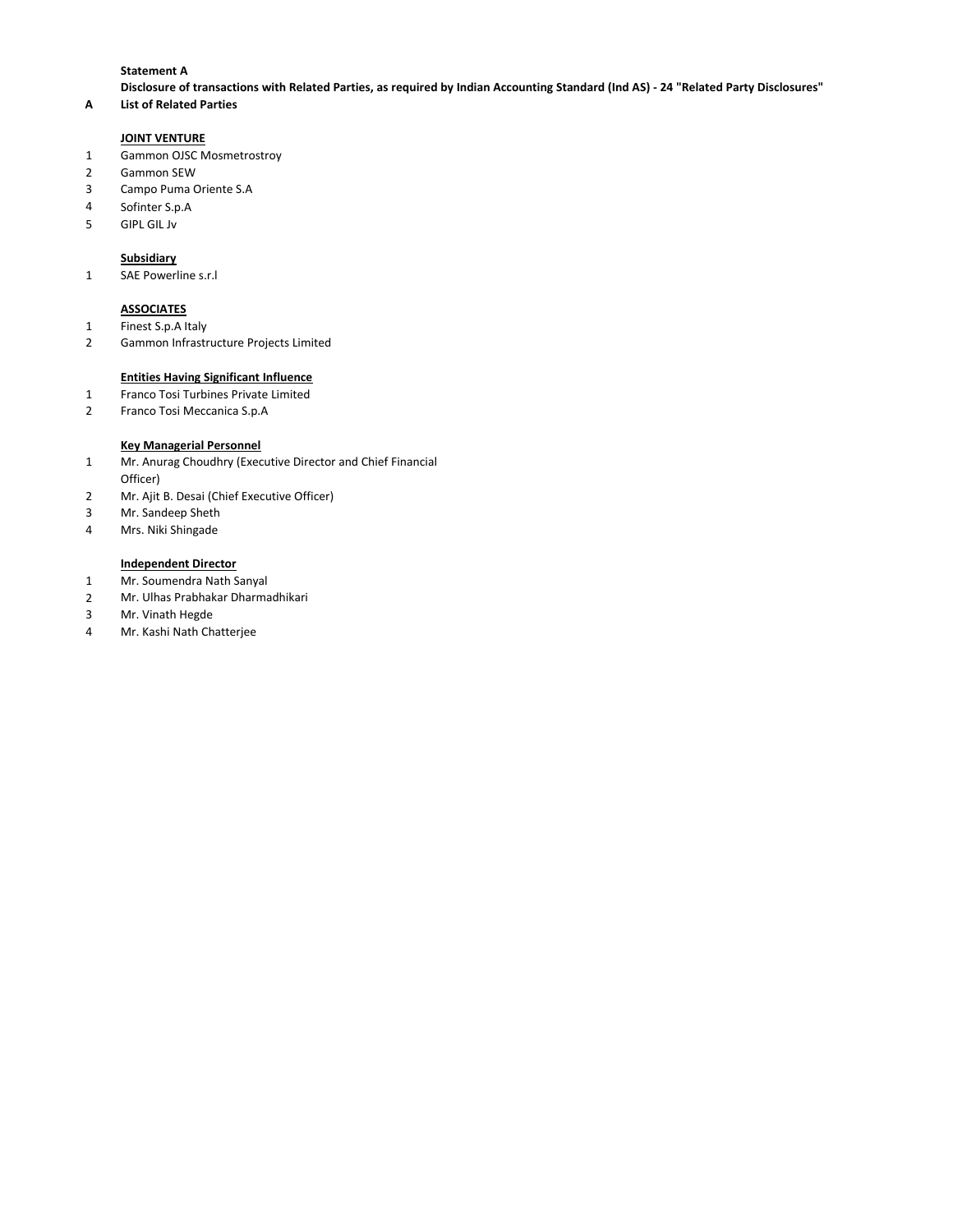### **Statement A**

**Disclosure of transactions with Related Parties, as required by Indian Accounting Standard (Ind AS) - 24 "Related Party Disclosures"**

# **A List of Related Parties**

### **JOINT VENTURE**

- Gammon OJSC Mosmetrostroy
- Gammon SEW
- Campo Puma Oriente S.A
- Sofinter S.p.A
- GIPL GIL Jv

#### **Subsidiary**

SAE Powerline s.r.l

### **ASSOCIATES**

- Finest S.p.A Italy
- Gammon Infrastructure Projects Limited

#### **Entities Having Significant Influence**

- Franco Tosi Turbines Private Limited
- Franco Tosi Meccanica S.p.A

### **Key Managerial Personnel**

- Mr. Anurag Choudhry (Executive Director and Chief Financial Officer)
- Mr. Ajit B. Desai (Chief Executive Officer)
- Mr. Sandeep Sheth
- Mrs. Niki Shingade

## **Independent Director**

- 1 Mr. Soumendra Nath Sanyal
- Mr. Ulhas Prabhakar Dharmadhikari
- Mr. Vinath Hegde
- Mr. Kashi Nath Chatterjee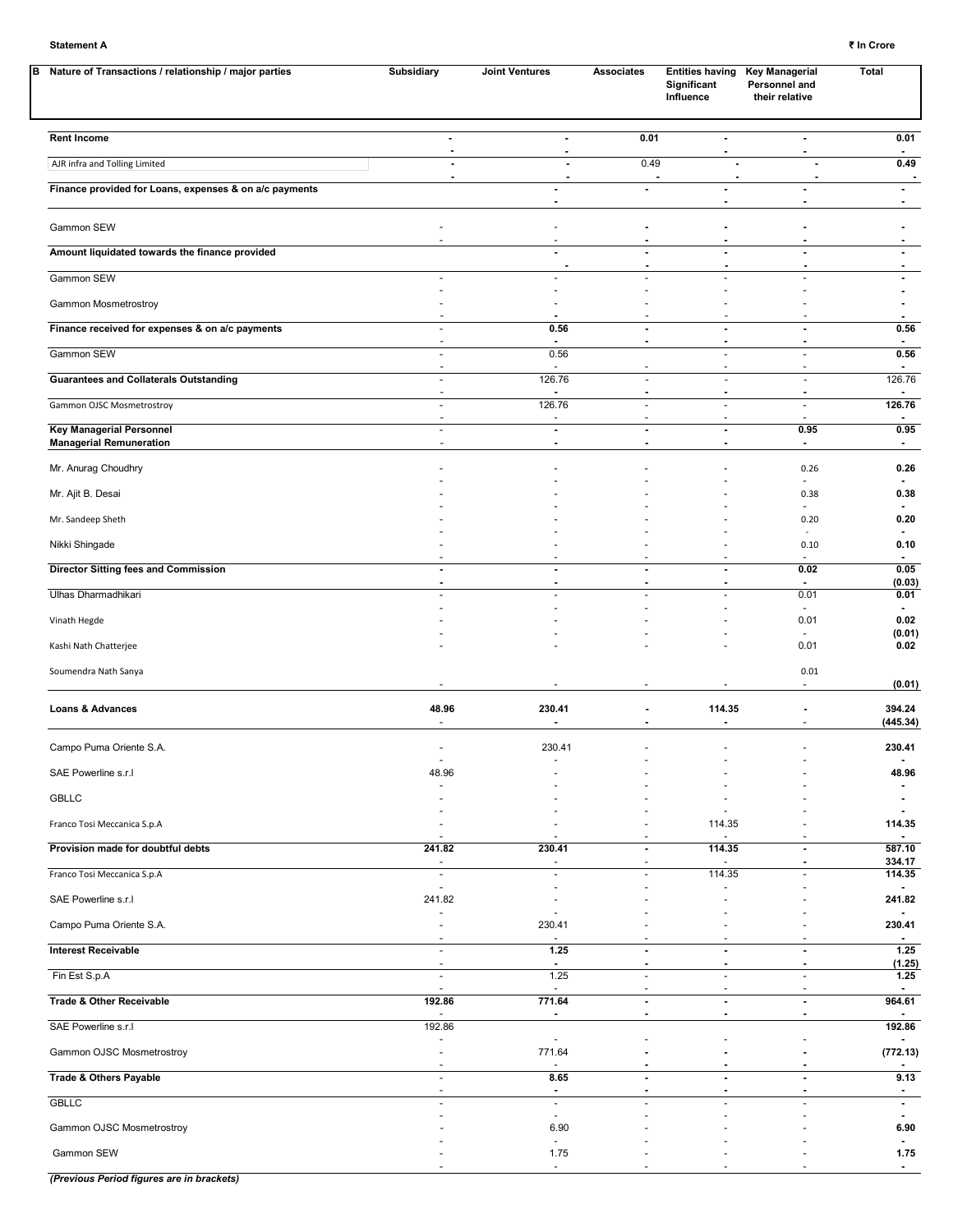| Nature of Transactions / relationship / major parties<br>в        | Subsidiary                                           | <b>Joint Ventures</b>              | Associates                                 | <b>Entities having</b><br>Significant<br>Influence      | <b>Key Managerial</b><br>Personnel and<br>their relative | <b>Total</b>                             |
|-------------------------------------------------------------------|------------------------------------------------------|------------------------------------|--------------------------------------------|---------------------------------------------------------|----------------------------------------------------------|------------------------------------------|
| <b>Rent Income</b>                                                | $\overline{\phantom{a}}$<br>$\overline{\phantom{a}}$ | $\blacksquare$<br>$\blacksquare$   | 0.01                                       | $\blacksquare$<br>$\blacksquare$                        | $\blacksquare$<br>$\blacksquare$                         | 0.01<br>$\sim$                           |
| AJR infra and Tolling Limited                                     | $\overline{a}$<br>$\overline{a}$                     | $\overline{\phantom{a}}$           | 0.49                                       | $\overline{\phantom{a}}$                                | ÷,<br>J.                                                 | 0.49<br>$\blacksquare$                   |
| Finance provided for Loans, expenses & on a/c payments            |                                                      |                                    | $\blacksquare$                             | $\blacksquare$                                          | $\blacksquare$                                           | $\blacksquare$                           |
| Gammon SEW                                                        |                                                      |                                    | $\overline{a}$                             |                                                         |                                                          |                                          |
| Amount liquidated towards the finance provided                    |                                                      | $\overline{\phantom{a}}$           | Ĭ.<br>$\overline{\phantom{a}}$             | $\overline{a}$<br>$\blacksquare$                        | $\blacksquare$                                           | $\blacksquare$                           |
| Gammon SEW                                                        | ä,                                                   |                                    | ä,                                         | ÷.                                                      |                                                          |                                          |
| Gammon Mosmetrostroy                                              |                                                      |                                    |                                            |                                                         |                                                          | $\blacksquare$                           |
| Finance received for expenses & on a/c payments                   | $\overline{a}$<br>$\overline{a}$                     | 0.56                               | $\blacksquare$<br>$\overline{\phantom{a}}$ | $\blacksquare$<br>$\overline{\phantom{a}}$              | $\blacksquare$<br>$\blacksquare$                         | 0.56<br>$\blacksquare$                   |
| Gammon SEW                                                        | ÷,<br>$\blacksquare$                                 | 0.56                               |                                            | $\sim$<br>÷,                                            | $\overline{a}$                                           | 0.56<br>$\blacksquare$                   |
| <b>Guarantees and Collaterals Outstanding</b>                     | ÷,<br>$\overline{a}$                                 | 126.76                             | ä,                                         | $\sim$<br>$\blacksquare$                                | $\blacksquare$                                           | 126.76                                   |
| Gammon OJSC Mosmetrostroy                                         | ä,                                                   | 126.76                             | ä,                                         | $\overline{a}$                                          | $\blacksquare$                                           | 126.76                                   |
| <b>Key Managerial Personnel</b><br><b>Managerial Remuneration</b> | ÷,<br>$\overline{a}$<br>$\blacksquare$               | $\sim$<br>$\overline{\phantom{a}}$ | $\overline{\phantom{a}}$<br>٠              | $\blacksquare$<br>$\blacksquare$                        | ÷,<br>0.95<br>$\blacksquare$                             | $\blacksquare$<br>0.95<br>$\blacksquare$ |
| Mr. Anurag Choudhry                                               |                                                      |                                    |                                            |                                                         | 0.26                                                     | 0.26                                     |
| Mr. Ajit B. Desai                                                 |                                                      |                                    |                                            |                                                         | 0.38                                                     | 0.38                                     |
| Mr. Sandeep Sheth                                                 |                                                      |                                    |                                            |                                                         | $\blacksquare$<br>0.20                                   | 0.20                                     |
| Nikki Shingade                                                    |                                                      |                                    |                                            |                                                         | 0.10                                                     | 0.10                                     |
| <b>Director Sitting fees and Commission</b>                       | ÷,                                                   | $\overline{\phantom{a}}$           | $\overline{a}$                             | $\overline{a}$                                          | $\sim$<br>0.02                                           | $\blacksquare$<br>0.05                   |
| Ulhas Dharmadhikari                                               | $\overline{a}$                                       |                                    | $\overline{\phantom{a}}$<br>ä,             | $\overline{\phantom{a}}$<br>÷.                          | 0.01                                                     | (0.03)<br>0.01                           |
| Vinath Hegde                                                      |                                                      |                                    |                                            |                                                         | $\blacksquare$<br>0.01                                   | 0.02                                     |
| Kashi Nath Chatterjee                                             |                                                      |                                    |                                            |                                                         | 0.01                                                     | (0.01)<br>0.02                           |
| Soumendra Nath Sanya                                              |                                                      |                                    |                                            |                                                         | 0.01<br>$\blacksquare$                                   | (0.01)                                   |
| Loans & Advances                                                  | 48.96<br>ä,                                          | 230.41                             | $\overline{\phantom{a}}$<br>$\blacksquare$ | 114.35<br>$\blacksquare$                                |                                                          | 394.24<br>(445.34)                       |
| Campo Puma Oriente S.A.                                           |                                                      | 230.41                             |                                            |                                                         |                                                          | 230.41                                   |
| SAE Powerline s.r.l                                               | 48.96                                                |                                    |                                            |                                                         |                                                          | 48.96                                    |
| <b>GBLLC</b>                                                      |                                                      |                                    |                                            |                                                         |                                                          |                                          |
| Franco Tosi Meccanica S.p.A                                       |                                                      |                                    |                                            | 114.35                                                  |                                                          | 114.35                                   |
| Provision made for doubtful debts                                 | 241.82                                               | 230.41                             | $\blacksquare$                             | 114.35                                                  | $\blacksquare$                                           | 587.10                                   |
| Franco Tosi Meccanica S.p.A                                       | $\overline{\phantom{a}}$<br>$\overline{\phantom{a}}$ | $\sim$                             | ÷,<br>٠                                    | 114.35                                                  |                                                          | 334.17<br>114.35                         |
| SAE Powerline s.r.l                                               | $\blacksquare$<br>241.82                             |                                    |                                            |                                                         |                                                          | 241.82                                   |
| Campo Puma Oriente S.A.                                           |                                                      | 230.41                             |                                            |                                                         |                                                          | 230.41                                   |
| <b>Interest Receivable</b>                                        | $\sim$                                               | 1.25                               | ÷,                                         | $\blacksquare$                                          | $\blacksquare$                                           | 1.25                                     |
| Fin Est S.p.A                                                     | $\overline{\phantom{a}}$<br>÷,                       | $\blacksquare$<br>1.25             | $\blacksquare$<br>÷,                       | $\overline{\phantom{a}}$<br>$\mathcal{L}_{\mathcal{A}}$ | $\blacksquare$<br>$\overline{\phantom{a}}$               | (1.25)<br>1.25                           |
| <b>Trade &amp; Other Receivable</b>                               | $\blacksquare$<br>192.86                             | 771.64                             | $\overline{\phantom{a}}$                   | $\overline{a}$<br>$\blacksquare$                        | $\blacksquare$                                           | 964.61                                   |
| SAE Powerline s.r.l                                               | $\blacksquare$<br>192.86                             | $\blacksquare$                     | $\blacksquare$                             | $\blacksquare$                                          | $\blacksquare$                                           | 192.86                                   |
| Gammon OJSC Mosmetrostroy                                         | Ĭ.                                                   | 771.64                             |                                            |                                                         |                                                          | (772.13)                                 |
| Trade & Others Payable                                            | $\overline{\phantom{a}}$<br>$\blacksquare$           | 8.65                               | $\blacksquare$<br>$\blacksquare$           | $\overline{\phantom{a}}$<br>$\overline{a}$              | $\blacksquare$<br>$\overline{a}$                         | 9.13                                     |
| <b>GBLLC</b>                                                      | ä,<br>÷                                              | $\blacksquare$<br>$\equiv$         | ä,                                         | $\sim$                                                  | ÷.                                                       | $\blacksquare$<br>$\blacksquare$         |
| Gammon OJSC Mosmetrostroy                                         |                                                      | $\sim$<br>6.90                     |                                            |                                                         |                                                          | 6.90                                     |
| Gammon SEW                                                        |                                                      | 1.75                               |                                            |                                                         |                                                          | 1.75                                     |
|                                                                   |                                                      | $\sim$                             | $\overline{\phantom{a}}$                   |                                                         |                                                          | $\blacksquare$                           |

*(Previous Period figures are in brackets)*